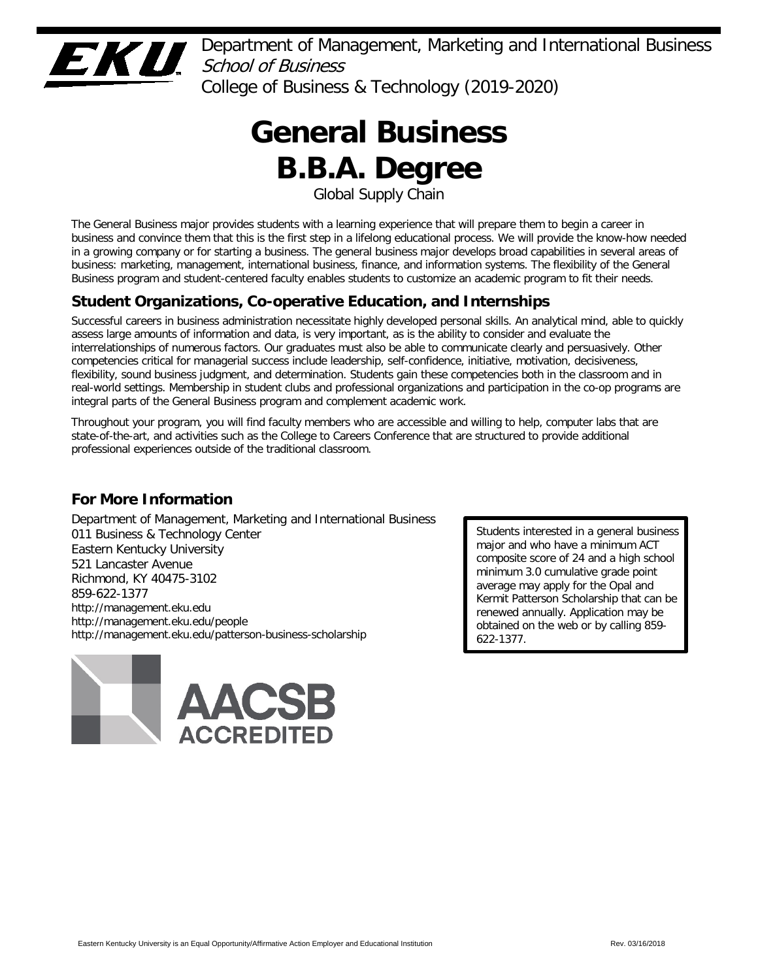

Department of Management, Marketing and International Business School of Business College of Business & Technology (2019-2020)

# **General Business B.B.A. Degree**

Global Supply Chain

The General Business major provides students with a learning experience that will prepare them to begin a career in business and convince them that this is the first step in a lifelong educational process. We will provide the know-how needed in a growing company or for starting a business. The general business major develops broad capabilities in several areas of business: marketing, management, international business, finance, and information systems. The flexibility of the General Business program and student-centered faculty enables students to customize an academic program to fit their needs.

# **Student Organizations, Co-operative Education, and Internships**

Successful careers in business administration necessitate highly developed personal skills. An analytical mind, able to quickly assess large amounts of information and data, is very important, as is the ability to consider and evaluate the interrelationships of numerous factors. Our graduates must also be able to communicate clearly and persuasively. Other competencies critical for managerial success include leadership, self-confidence, initiative, motivation, decisiveness, flexibility, sound business judgment, and determination. Students gain these competencies both in the classroom and in real-world settings. Membership in student clubs and professional organizations and participation in the co-op programs are integral parts of the General Business program and complement academic work.

Throughout your program, you will find faculty members who are accessible and willing to help, computer labs that are state-of-the-art, and activities such as the College to Careers Conference that are structured to provide additional professional experiences outside of the traditional classroom.

# **For More Information**

Department of Management, Marketing and International Business 011 Business & Technology Center Eastern Kentucky University 521 Lancaster Avenue Richmond, KY 40475-3102 859-622-1377 http://management.eku.edu http://management.eku.edu/people http://management.eku.edu/patterson-business-scholarship



Students interested in a general business major and who have a minimum ACT composite score of 24 and a high school minimum 3.0 cumulative grade point average may apply for the Opal and Kermit Patterson Scholarship that can be renewed annually. Application may be obtained on the web or by calling 859- 622-1377.